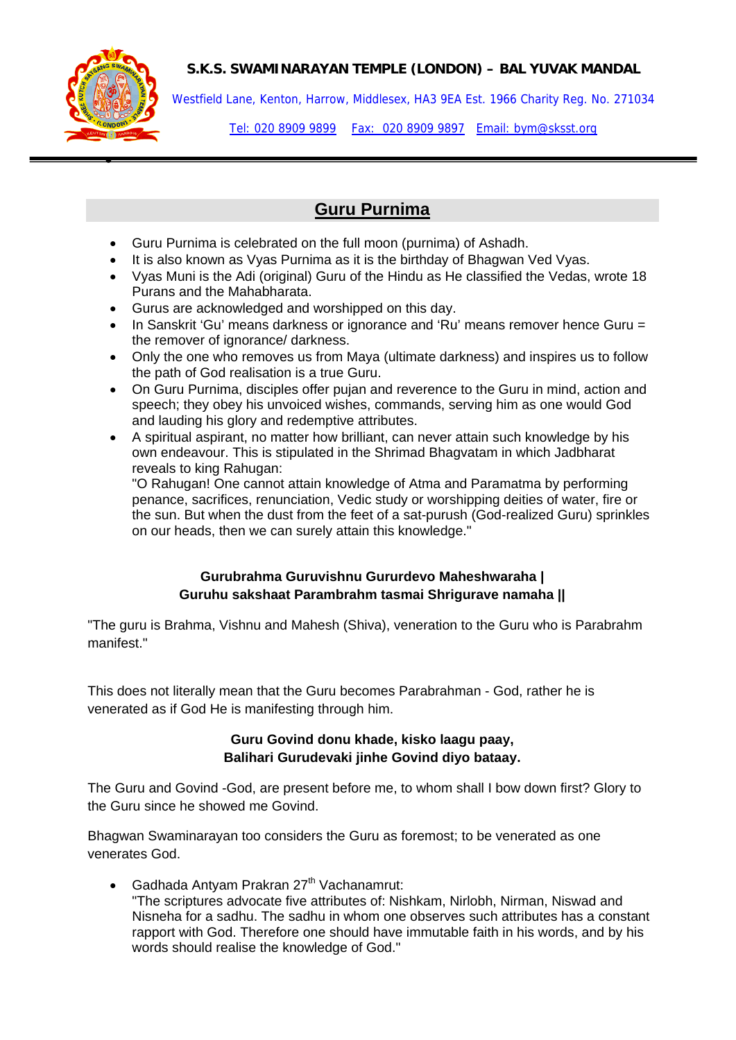# **S.K.S. SWAMINARAYAN TEMPLE (LONDON) – BAL YUVAK MANDAL**



Westfield Lane, Kenton, Harrow, Middlesex, HA3 9EA Est. 1966 Charity Reg. No. 271034

Tel: 020 8909 9899 Fax: 020 8909 9897 Email: bym@sksst.org

# **Guru Purnima**

- Guru Purnima is celebrated on the full moon (purnima) of Ashadh.
- It is also known as Vyas Purnima as it is the birthday of Bhagwan Ved Vyas.
- Vyas Muni is the Adi (original) Guru of the Hindu as He classified the Vedas, wrote 18 Purans and the Mahabharata.
- Gurus are acknowledged and worshipped on this day.
- In Sanskrit 'Gu' means darkness or ignorance and 'Ru' means remover hence Guru = the remover of ignorance/ darkness.
- Only the one who removes us from Maya (ultimate darkness) and inspires us to follow the path of God realisation is a true Guru.
- On Guru Purnima, disciples offer pujan and reverence to the Guru in mind, action and speech; they obey his unvoiced wishes, commands, serving him as one would God and lauding his glory and redemptive attributes.
- A spiritual aspirant, no matter how brilliant, can never attain such knowledge by his own endeavour. This is stipulated in the Shrimad Bhagvatam in which Jadbharat reveals to king Rahugan:

"O Rahugan! One cannot attain knowledge of Atma and Paramatma by performing penance, sacrifices, renunciation, Vedic study or worshipping deities of water, fire or the sun. But when the dust from the feet of a sat-purush (God-realized Guru) sprinkles on our heads, then we can surely attain this knowledge."

# **Gurubrahma Guruvishnu Gururdevo Maheshwaraha | Guruhu sakshaat Parambrahm tasmai Shrigurave namaha ||**

"The guru is Brahma, Vishnu and Mahesh (Shiva), veneration to the Guru who is Parabrahm manifest."

This does not literally mean that the Guru becomes Parabrahman - God, rather he is venerated as if God He is manifesting through him.

#### **Guru Govind donu khade, kisko laagu paay, Balihari Gurudevaki jinhe Govind diyo bataay.**

The Guru and Govind -God, are present before me, to whom shall I bow down first? Glory to the Guru since he showed me Govind.

Bhagwan Swaminarayan too considers the Guru as foremost; to be venerated as one venerates God.

• Gadhada Antyam Prakran  $27<sup>th</sup>$  Vachanamrut: "The scriptures advocate five attributes of: Nishkam, Nirlobh, Nirman, Niswad and Nisneha for a sadhu. The sadhu in whom one observes such attributes has a constant rapport with God. Therefore one should have immutable faith in his words, and by his words should realise the knowledge of God."